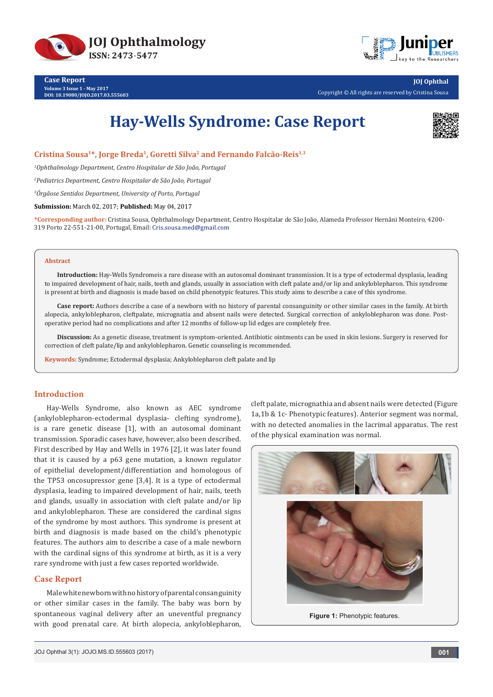



**Case Report Volume 3 Issue 1 - May 2017 DOI: [10.19080/JOJO.2017.03.555603](http://dx.doi.org/10.19080/JOJO.2017.03.555603)**



# **Hay-Wells Syndrome: Case Report**



**Cristina Sousa1\*, Jorge Breda1, Goretti Silva2 and Fernando Falcão-Reis1,3**

*1 Ophthalmology Department, Centro Hospitalar de São João, Portugal*

*2 Pediatrics Department, Centro Hospitalar de São João, Portugal*

*3 Órgãose Sentidos Department, University of Porto, Portugal*

**Submission:** March 02, 2017; **Published:** May 04, 2017

**\*Corresponding author:** Cristina Sousa, Ophthalmology Department, Centro Hospitalar de São João, Alameda Professor Hernâni Monteiro, 4200- 319 Porto 22-551-21-00, Portugal, Email: Cris.sousa.med@gmail.com

#### **Abstract**

**Introduction:** Hay-Wells Syndromeis a rare disease with an autosomal dominant transmission. It is a type of ectodermal dysplasia, leading to impaired development of hair, nails, teeth and glands, usually in association with cleft palate and/or lip and ankyloblepharon. This syndrome is present at birth and diagnosis is made based on child phenotypic features. This study aims to describe a case of this syndrome.

**Case report:** Authors describe a case of a newborn with no history of parental consanguinity or other similar cases in the family. At birth alopecia, ankyloblepharon, cleftpalate, micrognatia and absent nails were detected. Surgical correction of ankyloblepharon was done. Postoperative period had no complications and after 12 months of follow-up lid edges are completely free.

**Discussion:** As a genetic disease, treatment is symptom-oriented. Antibiotic ointments can be used in skin lesions. Surgery is reserved for correction of cleft palate/lip and ankyloblepharon. Genetic counseling is recommended.

**Keywords:** Syndrome; Ectodermal dysplasia; Ankyloblepharon cleft palate and lip

## **Introduction**

Hay-Wells Syndrome, also known as AEC syndrome (ankyloblepharon-ectodermal dysplasia- clefting syndrome), is a rare genetic disease [1], with an autosomal dominant transmission. Sporadic cases have, however, also been described. First described by Hay and Wells in 1976 [2], it was later found that it is caused by a p63 gene mutation, a known regulator of epithelial development/differentiation and homologous of the TP53 oncosupressor gene [3,4]. It is a type of ectodermal dysplasia, leading to impaired development of hair, nails, teeth and glands, usually in association with cleft palate and/or lip and ankyloblepharon. These are considered the cardinal signs of the syndrome by most authors. This syndrome is present at birth and diagnosis is made based on the child's phenotypic features. The authors aim to describe a case of a male newborn with the cardinal signs of this syndrome at birth, as it is a very rare syndrome with just a few cases reported worldwide.

## **Case Report**

Male white newborn with no history of parental consanguinity or other similar cases in the family. The baby was born by spontaneous vaginal delivery after an uneventful pregnancy with good prenatal care. At birth alopecia, ankyloblepharon,

cleft palate, micrognathia and absent nails were detected (Figure 1a,1b & 1c- Phenotypic features). Anterior segment was normal, with no detected anomalies in the lacrimal apparatus. The rest of the physical examination was normal.



**Figure 1:** Phenotypic features.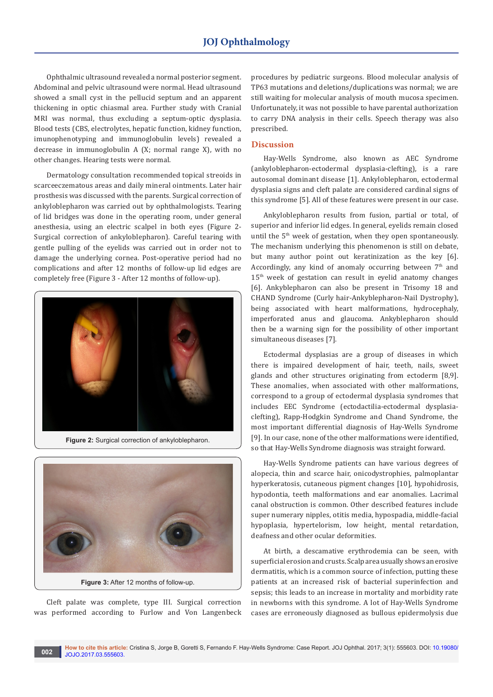Ophthalmic ultrasound revealed a normal posterior segment. Abdominal and pelvic ultrasound were normal. Head ultrasound showed a small cyst in the pellucid septum and an apparent thickening in optic chiasmal area. Further study with Cranial MRI was normal, thus excluding a septum-optic dysplasia. Blood tests (CBS, electrolytes, hepatic function, kidney function, imunophenotyping and immunoglobulin levels) revealed a decrease in immunoglobulin A (X; normal range X), with no other changes. Hearing tests were normal.

Dermatology consultation recommended topical streoids in scarceeczematous areas and daily mineral ointments. Later hair prosthesis was discussed with the parents. Surgical correction of ankyloblepharon was carried out by ophthalmologists. Tearing of lid bridges was done in the operating room, under general anesthesia, using an electric scalpel in both eyes (Figure 2- Surgical correction of ankyloblepharon). Careful tearing with gentle pulling of the eyelids was carried out in order not to damage the underlying cornea. Post-operative period had no complications and after 12 months of follow-up lid edges are completely free (Figure 3 - After 12 months of follow-up).



**Figure 2:** Surgical correction of ankyloblepharon.



Cleft palate was complete, type III. Surgical correction was performed according to Furlow and Von Langenbeck procedures by pediatric surgeons. Blood molecular analysis of TP63 mutations and deletions/duplications was normal; we are still waiting for molecular analysis of mouth mucosa specimen. Unfortunately, it was not possible to have parental authorization to carry DNA analysis in their cells. Speech therapy was also prescribed.

# **Discussion**

Hay-Wells Syndrome, also known as AEC Syndrome (ankyloblepharon-ectodermal dysplasia-clefting), is a rare autosomal dominant disease [1]. Ankyloblepharon, ectodermal dysplasia signs and cleft palate are considered cardinal signs of this syndrome [5]. All of these features were present in our case.

Ankyloblepharon results from fusion, partial or total, of superior and inferior lid edges. In general, eyelids remain closed until the 5<sup>th</sup> week of gestation, when they open spontaneously. The mechanism underlying this phenomenon is still on debate, but many author point out keratinization as the key [6]. Accordingly, any kind of anomaly occurring between  $7<sup>th</sup>$  and 15<sup>th</sup> week of gestation can result in eyelid anatomy changes [6]. Ankyblepharon can also be present in Trisomy 18 and CHAND Syndrome (Curly hair-Ankyblepharon-Nail Dystrophy), being associated with heart malformations, hydrocephaly, imperforated anus and glaucoma. Ankyblepharon should then be a warning sign for the possibility of other important simultaneous diseases [7].

Ectodermal dysplasias are a group of diseases in which there is impaired development of hair, teeth, nails, sweet glands and other structures originating from ectoderm [8,9]. These anomalies, when associated with other malformations, correspond to a group of ectodermal dysplasia syndromes that includes EEC Syndrome (ectodactilia-ectodermal dysplasiaclefting), Rapp-Hodgkin Syndrome and Chand Syndrome, the most important differential diagnosis of Hay-Wells Syndrome [9]. In our case, none of the other malformations were identified, so that Hay-Wells Syndrome diagnosis was straight forward.

Hay-Wells Syndrome patients can have various degrees of alopecia, thin and scarce hair, onicodystrophies, palmoplantar hyperkeratosis, cutaneous pigment changes [10], hypohidrosis, hypodontia, teeth malformations and ear anomalies. Lacrimal canal obstruction is common. Other described features include super numerary nipples, otitis media, hypospadia, middle-facial hypoplasia, hypertelorism, low height, mental retardation, deafness and other ocular deformities.

At birth, a descamative erythrodemia can be seen, with superficial erosion and crusts. Scalp area usually shows an erosive dermatitis, which is a common source of infection, putting these patients at an increased risk of bacterial superinfection and sepsis; this leads to an increase in mortality and morbidity rate in newborns with this syndrome. A lot of Hay-Wells Syndrome cases are erroneously diagnosed as bullous epidermolysis due